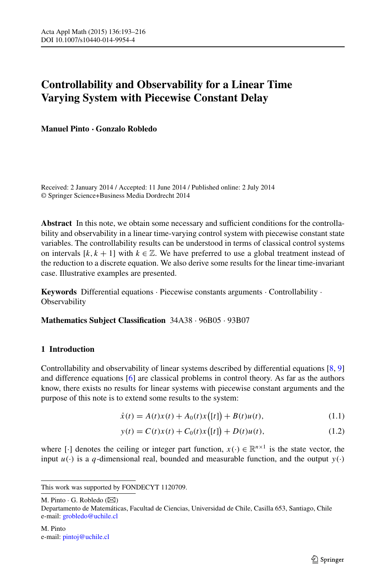# **Controllability and Observability for a Linear Time Varying System with Piecewise Constant Delay**

**Manuel Pinto · Gonzalo Robledo**

Received: 2 January 2014 / Accepted: 11 June 2014 / Published online: 2 July 2014 © Springer Science+Business Media Dordrecht 2014

**Abstract** In this note, we obtain some necessary and sufficient conditions for the controllability and observability in a linear time-varying control system with piecewise constant state variables. The controllability results can be understood in terms of classical control systems on intervals  $[k, k + 1]$  with  $k \in \mathbb{Z}$ . We have preferred to use a global treatment instead of the reduction to a discrete equation. We also derive some results for the linear time-invariant case. Illustrative examples are presented.

**Keywords** Differential equations · Piecewise constants arguments · Controllability · **Observability** 

**Mathematics Subject Classification** 34A38 · 96B05 · 93B07

## <span id="page-0-1"></span><span id="page-0-0"></span>**1 Introduction**

Controllability and observability of linear systems described by differential equations [\[8,](#page-22-0) [9](#page-22-1)] and difference equations [\[6](#page-22-2)] are classical problems in control theory. As far as the authors know, there exists no results for linear systems with piecewise constant arguments and the purpose of this note is to extend some results to the system:

$$
\dot{x}(t) = A(t)x(t) + A_0(t)x([t]) + B(t)u(t),
$$
\n(1.1)

$$
y(t) = C(t)x(t) + C_0(t)x([t]) + D(t)u(t),
$$
\n(1.2)

where  $[\cdot]$  denotes the ceiling or integer part function,  $x(\cdot) \in \mathbb{R}^{n \times 1}$  is the state vector, the input  $u(\cdot)$  is a q-dimensional real, bounded and measurable function, and the output  $y(\cdot)$ 

M. Pinto  $\cdot$  G. Robledo ( $\boxtimes$ )

Departamento de Matemáticas, Facultad de Ciencias, Universidad de Chile, Casilla 653, Santiago, Chile e-mail: [grobledo@uchile.cl](mailto:grobledo@uchile.cl)

This work was supported by FONDECYT 1120709.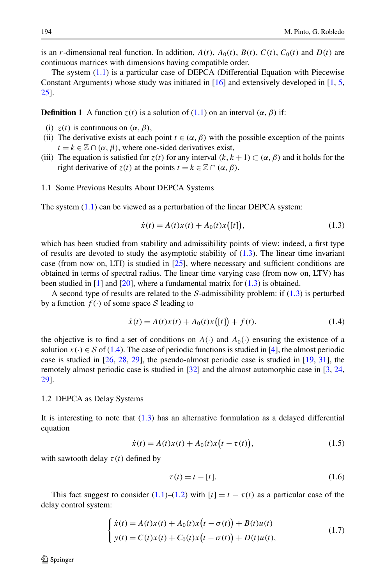is an *r*-dimensional real function. In addition,  $A(t)$ ,  $A_0(t)$ ,  $B(t)$ ,  $C(t)$ ,  $C_0(t)$  and  $D(t)$  are continuous matrices with dimensions having compatible order.

The system  $(1.1)$  is a particular case of DEPCA (Differential Equation with Piecewise Constant Arguments) whose study was initiated in  $[16]$  $[16]$  $[16]$  and extensively developed in  $[1, 5]$  $[1, 5]$  $[1, 5]$  $[1, 5]$  $[1, 5]$ , [25](#page-22-6)].

**Definition 1** A function  $z(t)$  is a solution of  $(1.1)$  $(1.1)$  $(1.1)$  on an interval  $(\alpha, \beta)$  if:

- (i)  $z(t)$  is continuous on  $(\alpha, \beta)$ ,
- (ii) The derivative exists at each point  $t \in (\alpha, \beta)$  with the possible exception of the points  $t = k \in \mathbb{Z} \cap (\alpha, \beta)$ , where one-sided derivatives exist,
- (iii) The equation is satisfied for  $z(t)$  for any interval  $(k, k + 1) \subset (\alpha, \beta)$  and it holds for the right derivative of  $z(t)$  at the points  $t = k \in \mathbb{Z} \cap (\alpha, \beta)$ .
- 1.1 Some Previous Results About DEPCA Systems

The system ([1.1\)](#page-0-0) can be viewed as a perturbation of the linear DEPCA system:

<span id="page-1-1"></span><span id="page-1-0"></span>
$$
\dot{x}(t) = A(t)x(t) + A_0(t)x([t]),
$$
\n(1.3)

which has been studied from stability and admissibility points of view: indeed, a first type of results are devoted to study the asymptotic stability of  $(1.3)$  $(1.3)$ . The linear time invariant case (from now on, LTI) is studied in  $[25]$  $[25]$ , where necessary and sufficient conditions are obtained in terms of spectral radius. The linear time varying case (from now on, LTV) has been studied in  $[1]$  $[1]$  $[1]$  and  $[20]$ , where a fundamental matrix for  $(1.3)$  $(1.3)$  is obtained.

A second type of results are related to the  $S$ -admissibility problem: if ([1.3\)](#page-1-0) is perturbed by a function  $f(\cdot)$  of some space S leading to

<span id="page-1-3"></span>
$$
\dot{x}(t) = A(t)x(t) + A_0(t)x([t]) + f(t),
$$
\n(1.4)

the objective is to find a set of conditions on  $A(\cdot)$  and  $A_0(\cdot)$  ensuring the existence of a solution  $x(\cdot) \in S$  of [\(1.4](#page-1-1)). The case of periodic functions is studied in [[4\]](#page-22-8), the almost periodic case is studied in [[26](#page-22-9), [28](#page-22-10), [29](#page-22-11)], the pseudo-almost periodic case is studied in [[19](#page-22-12), [31](#page-23-0)], the remotely almost periodic case is studied in [\[32\]](#page-23-1) and the almost automorphic case in [\[3,](#page-22-13) [24](#page-22-14), [29](#page-22-11)].

#### 1.2 DEPCA as Delay Systems

It is interesting to note that  $(1.3)$  $(1.3)$  $(1.3)$  has an alternative formulation as a delayed differential equation

$$
\dot{x}(t) = A(t)x(t) + A_0(t)x(t - \tau(t)),
$$
\n(1.5)

with sawtooth delay  $\tau(t)$  defined by

<span id="page-1-4"></span><span id="page-1-2"></span>
$$
\tau(t) = t - [t]. \tag{1.6}
$$

This fact suggest to consider [\(1.1\)](#page-0-0)–([1.2\)](#page-0-1) with  $[t] = t - \tau(t)$  as a particular case of the delay control system:

$$
\begin{cases} \dot{x}(t) = A(t)x(t) + A_0(t)x(t - \sigma(t)) + B(t)u(t) \\ y(t) = C(t)x(t) + C_0(t)x(t - \sigma(t)) + D(t)u(t), \end{cases}
$$
\n(1.7)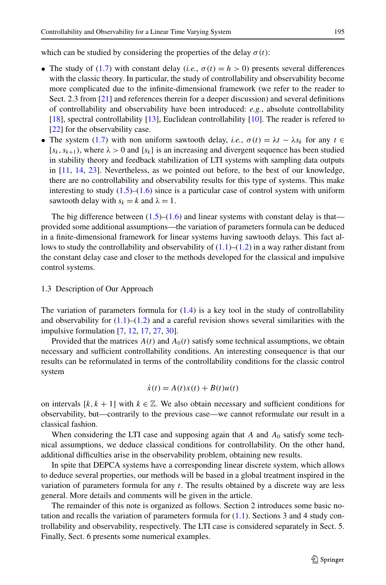which can be studied by considering the properties of the delay  $\sigma(t)$ :

- The study of [\(1.7](#page-1-2)) with constant delay (*i.e.*,  $\sigma(t) = h > 0$ ) presents several differences with the classic theory. In particular, the study of controllability and observability become more complicated due to the infinite-dimensional framework (we refer to the reader to Sect. 2.3 from [\[21\]](#page-22-15) and references therein for a deeper discussion) and several definitions of controllability and observability have been introduced: *e.g.*, absolute controllability [\[18\]](#page-22-16), spectral controllability [\[13\]](#page-22-17), Euclidean controllability [[10](#page-22-18)]. The reader is refered to [\[22\]](#page-22-19) for the observability case.
- The system [\(1.7\)](#page-1-2) with non uniform sawtooth delay, *i.e.*,  $\sigma(t) = \lambda t \lambda s_k$  for any  $t \in$  $[s_k, s_{k+1})$ , where  $\lambda > 0$  and  $\{s_k\}$  is an increasing and divergent sequence has been studied in stability theory and feedback stabilization of LTI systems with sampling data outputs in [\[11,](#page-22-20) [14](#page-22-21), [23](#page-22-22)]. Nevertheless, as we pointed out before, to the best of our knowledge, there are no controllability and observability results for this type of systems. This make interesting to study  $(1.5)$  $(1.5)$ – $(1.6)$  $(1.6)$  $(1.6)$  since is a particular case of control system with uniform sawtooth delay with  $s_k = k$  and  $\lambda = 1$ .

The big difference between  $(1.5)$ – $(1.6)$  and linear systems with constant delay is that provided some additional assumptions—the variation of parameters formula can be deduced in a finite-dimensional framework for linear systems having sawtooth delays. This fact allows to study the controllability and observability of  $(1.1)$  $(1.1)$ – $(1.2)$  $(1.2)$  $(1.2)$  in a way rather distant from the constant delay case and closer to the methods developed for the classical and impulsive control systems.

## 1.3 Description of Our Approach

The variation of parameters formula for  $(1.4)$  $(1.4)$  is a key tool in the study of controllability and observability for  $(1.1)$  $(1.1)$ – $(1.2)$  $(1.2)$  and a careful revision shows several similarities with the impulsive formulation [\[7](#page-22-23), [12](#page-22-24), [17](#page-22-25), [27,](#page-22-26) [30\]](#page-22-27).

Provided that the matrices  $A(t)$  and  $A_0(t)$  satisfy some technical assumptions, we obtain necessary and sufficient controllability conditions. An interesting consequence is that our results can be reformulated in terms of the controllability conditions for the classic control system

$$
\dot{x}(t) = A(t)x(t) + B(t)u(t)
$$

on intervals  $[k, k + 1]$  with  $k \in \mathbb{Z}$ . We also obtain necessary and sufficient conditions for observability, but—contrarily to the previous case—we cannot reformulate our result in a classical fashion.

When considering the LTI case and supposing again that *A* and  $A_0$  satisfy some technical assumptions, we deduce classical conditions for controllability. On the other hand, additional difficulties arise in the observability problem, obtaining new results.

In spite that DEPCA systems have a corresponding linear discrete system, which allows to deduce several properties, our methods will be based in a global treatment inspired in the variation of parameters formula for any *t*. The results obtained by a discrete way are less general. More details and comments will be given in the article.

The remainder of this note is organized as follows. Section 2 introduces some basic notation and recalls the variation of parameters formula for  $(1.1)$  $(1.1)$ . Sections 3 and 4 study controllability and observability, respectively. The LTI case is considered separately in Sect. 5. Finally, Sect. 6 presents some numerical examples.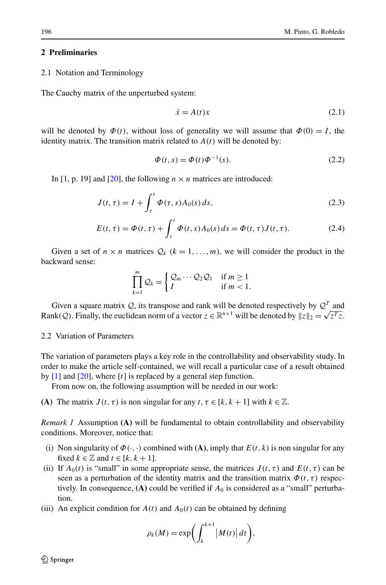## **2 Preliminaries**

2.1 Notation and Terminology

The Cauchy matrix of the unperturbed system:

<span id="page-3-0"></span>
$$
\dot{x} = A(t)x \tag{2.1}
$$

<span id="page-3-2"></span><span id="page-3-1"></span>will be denoted by  $\Phi(t)$ , without loss of generality we will assume that  $\Phi(0) = I$ , the identity matrix. The transition matrix related to  $A(t)$  will be denoted by:

$$
\Phi(t,s) = \Phi(t)\Phi^{-1}(s). \tag{2.2}
$$

In [\[1,](#page-22-4) p. 19] and [\[20\]](#page-22-7), the following  $n \times n$  matrices are introduced:

$$
J(t, \tau) = I + \int_{\tau}^{t} \Phi(\tau, s) A_0(s) \, ds,\tag{2.3}
$$

$$
E(t, \tau) = \Phi(t, \tau) + \int_{\tau}^{t} \Phi(t, s) A_0(s) ds = \Phi(t, \tau) J(t, \tau).
$$
 (2.4)

Given a set of  $n \times n$  matrices  $\mathcal{Q}_k$  ( $k = 1, \ldots, m$ ), we will consider the product in the backward sense:

$$
\prod_{k=1}^{m} Q_k = \begin{cases} Q_m \cdots Q_2 Q_1 & \text{if } m \ge 1 \\ I & \text{if } m < 1. \end{cases}
$$

Given a square matrix  $Q$ , its transpose and rank will be denoted respectively by  $Q<sup>T</sup>$  and Rank(*Q*). Finally, the euclidean norm of a vector  $z \in \mathbb{R}^{n \times 1}$  will be denoted by  $||z||_2 = \sqrt{z^T z}$ .

## <span id="page-3-3"></span>2.2 Variation of Parameters

The variation of parameters plays a key role in the controllability and observability study. In order to make the article self-contained, we will recall a particular case of a result obtained by [[1\]](#page-22-4) and [\[20\]](#page-22-7), where [*t*] is replaced by a general step function.

From now on, the following assumption will be needed in our work:

**(A)** The matrix  $J(t, \tau)$  is non singular for any  $t, \tau \in [k, k + 1]$  with  $k \in \mathbb{Z}$ .

*Remark 1* Assumption **(A)** will be fundamental to obtain controllability and observability conditions. Moreover, notice that:

- (i) Non singularity of  $\Phi(\cdot, \cdot)$  combined with **(A)**, imply that  $E(t, k)$  is non singular for any fixed  $k \in \mathbb{Z}$  and  $t \in [k, k+1]$ .
- (ii) If  $A_0(t)$  is "small" in some appropriate sense, the matrices  $J(t, \tau)$  and  $E(t, \tau)$  can be seen as a perturbation of the identity matrix and the transition matrix  $\Phi(t, \tau)$  respectively. In consequence,  $(A)$  could be verified if  $A_0$  is considered as a "small" perturbation.
- (iii) An explicit condition for  $A(t)$  and  $A_0(t)$  can be obtained by defining

$$
\rho_k(M) = \exp\biggl(\int_k^{k+1} |M(t)| dt\biggr),\,
$$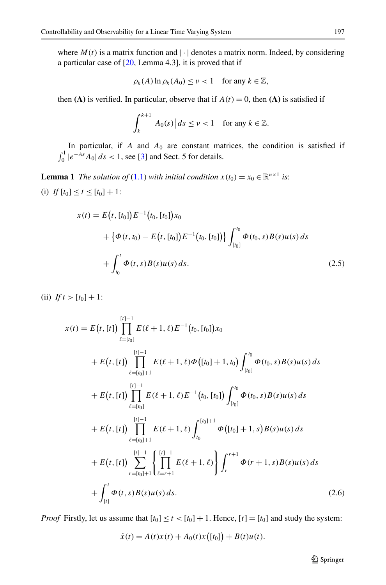where  $M(t)$  is a matrix function and  $|\cdot|$  denotes a matrix norm. Indeed, by considering a particular case of [\[20](#page-22-7), Lemma 4.3], it is proved that if

$$
\rho_k(A) \ln \rho_k(A_0) \le \nu < 1 \quad \text{for any } k \in \mathbb{Z},
$$

then **(A)** is verified. In particular, observe that if  $A(t) = 0$ , then **(A)** is satisfied if

$$
\int_{k}^{k+1} |A_0(s)| ds \le \nu < 1 \quad \text{for any } k \in \mathbb{Z}.
$$

<span id="page-4-0"></span>In particular, if  $A$  and  $A_0$  are constant matrices, the condition is satisfied if  $\int_0^1 |e^{-As}A_0| ds < 1$ , see [\[3\]](#page-22-13) and Sect. 5 for details.

**Lemma 1** *The solution of* ([1.1\)](#page-0-0) *with initial condition*  $x(t_0) = x_0 \in \mathbb{R}^{n \times 1}$  *is*: (i)  $If [t_0] \le t \le [t_0] + 1$ :

$$
x(t) = E(t, [t_0])E^{-1}(t_0, [t_0])x_0
$$
  
+ { $\Phi(t, t_0) - E(t, [t_0])E^{-1}(t_0, [t_0])$ }  $\int_{[t_0]}^{t_0} \Phi(t_0, s)B(s)u(s) ds$   
+  $\int_{t_0}^t \Phi(t, s)B(s)u(s) ds.$  (2.5)

<span id="page-4-1"></span>(ii)  $If t > [t_0] + 1$ :

$$
x(t) = E(t, [t]) \prod_{\ell = [t_0]}^{[t]-1} E(\ell + 1, \ell) E^{-1}(t_0, [t_0]) x_0
$$
  
+  $E(t, [t]) \prod_{\ell = [t_0]+1}^{[t]-1} E(\ell + 1, \ell) \Phi([t_0] + 1, t_0) \int_{[t_0]}^{t_0} \Phi(t_0, s) B(s) u(s) ds$   
+  $E(t, [t]) \prod_{\ell = [t_0]}^{[t]-1} E(\ell + 1, \ell) E^{-1}(t_0, [t_0]) \int_{[t_0]}^{t_0} \Phi(t_0, s) B(s) u(s) ds$   
+  $E(t, [t]) \prod_{\ell = [t_0]+1}^{[t]-1} E(\ell + 1, \ell) \int_{t_0}^{[t_0]+1} \Phi([t_0] + 1, s) B(s) u(s) ds$   
+  $E(t, [t]) \sum_{r=[t_0]+1}^{[r]-1} \left\{ \prod_{\ell=r+1}^{[r]-1} E(\ell + 1, \ell) \right\} \int_{r}^{r+1} \Phi(r + 1, s) B(s) u(s) ds$   
+  $\int_{[t]}^{t} \Phi(t, s) B(s) u(s) ds.$  (2.6)

*Proof* Firstly, let us assume that  $[t_0] \le t < [t_0] + 1$ . Hence,  $[t] = [t_0]$  and study the system:

$$
\dot{x}(t) = A(t)x(t) + A_0(t)x([t_0]) + B(t)u(t).
$$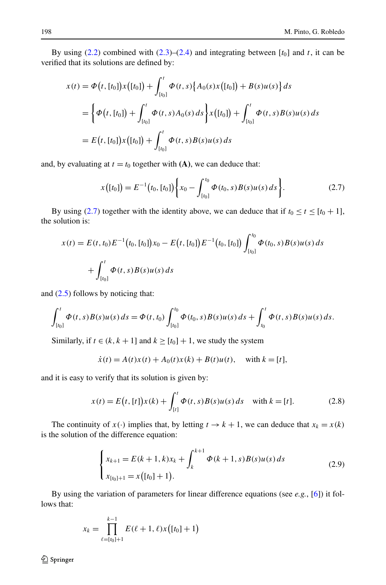By using  $(2.2)$  $(2.2)$  $(2.2)$  combined with  $(2.3)$ – $(2.4)$  $(2.4)$  and integrating between  $[t_0]$  and *t*, it can be verified that its solutions are defined by:

$$
x(t) = \Phi(t, [t_0])x([t_0]) + \int_{[t_0]}^t \Phi(t, s) \{A_0(s)x([t_0]) + B(s)u(s)\} ds
$$
  
= 
$$
\left\{\Phi(t, [t_0]) + \int_{[t_0]}^t \Phi(t, s)A_0(s) ds\right\}x([t_0]) + \int_{[t_0]}^t \Phi(t, s)B(s)u(s) ds
$$
  
= 
$$
E(t, [t_0])x([t_0]) + \int_{[t_0]}^t \Phi(t, s)B(s)u(s) ds
$$

and, by evaluating at  $t = t_0$  together with  $(A)$ , we can deduce that:

<span id="page-5-0"></span>
$$
x([t_0]) = E^{-1}(t_0, [t_0]) \bigg\{ x_0 - \int_{[t_0]}^{t_0} \Phi(t_0, s) B(s) u(s) ds \bigg\}.
$$
 (2.7)

By using ([2.7\)](#page-5-0) together with the identity above, we can deduce that if  $t_0 \le t \le [t_0 + 1]$ , the solution is:

$$
x(t) = E(t, t_0)E^{-1}(t_0, [t_0])x_0 - E(t, [t_0])E^{-1}(t_0, [t_0])\int_{[t_0]}^{t_0} \Phi(t_0, s)B(s)u(s) ds
$$
  
+ 
$$
\int_{[t_0]}^{t} \Phi(t, s)B(s)u(s) ds
$$

and [\(2.5\)](#page-4-0) follows by noticing that:

$$
\int_{[t_0]}^t \Phi(t,s)B(s)u(s) ds = \Phi(t,t_0) \int_{[t_0]}^{t_0} \Phi(t_0,s)B(s)u(s) ds + \int_{t_0}^t \Phi(t,s)B(s)u(s) ds.
$$

Similarly, if  $t \in (k, k + 1]$  and  $k \geq [t_0] + 1$ , we study the system

<span id="page-5-1"></span>
$$
\dot{x}(t) = A(t)x(t) + A_0(t)x(k) + B(t)u(t), \text{ with } k = [t],
$$

and it is easy to verify that its solution is given by:

$$
x(t) = E(t, [t])x(k) + \int_{[t]}^{t} \Phi(t, s)B(s)u(s) ds \quad \text{with } k = [t].
$$
 (2.8)

The continuity of  $x(\cdot)$  implies that, by letting  $t \to k + 1$ , we can deduce that  $x_k = x(k)$ is the solution of the difference equation:

$$
\begin{cases} x_{k+1} = E(k+1,k)x_k + \int_k^{k+1} \Phi(k+1,s)B(s)u(s) ds \\ x_{[t_0]+1} = x([t_0]+1). \end{cases}
$$
(2.9)

By using the variation of parameters for linear difference equations (see *e.g.*, [\[6](#page-22-2)]) it follows that:

$$
x_k = \prod_{\ell=l t_0 \rfloor+1}^{k-1} E(\ell+1, \ell) x([t_0]+1)
$$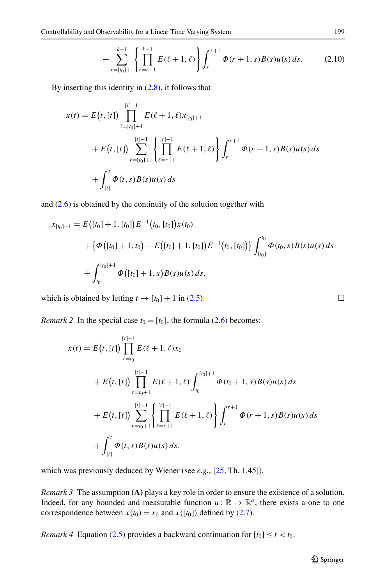$$
+\sum_{r=[t_0]+1}^{k-1} \left\{ \prod_{\ell=r+1}^{k-1} E(\ell+1,\ell) \right\} \int_r^{r+1} \Phi(r+1,s) B(s) u(s) \, ds. \tag{2.10}
$$

By inserting this identity in ([2.8\)](#page-5-1), it follows that

$$
x(t) = E(t, [t]) \prod_{\ell = [t_0]+1}^{[t]-1} E(\ell + 1, \ell) x_{[t_0]+1}
$$
  
+ 
$$
E(t, [t]) \sum_{r=[t_0]+1}^{[t]-1} \left\{ \prod_{\ell=r+1}^{[t]-1} E(\ell + 1, \ell) \right\} \int_r^{r+1} \Phi(r + 1, s) B(s) u(s) ds
$$
  
+ 
$$
\int_{[t]}^t \Phi(t, s) B(s) u(s) ds
$$

and  $(2.6)$  is obtained by the continuity of the solution together with

$$
x_{[t_0]+1} = E([t_0]+1, [t_0])E^{-1}(t_0, [t_0])x(t_0)
$$
  
+  $\{\Phi([t_0]+1, t_0) - E([t_0]+1, [t_0])E^{-1}(t_0, [t_0])\}\int_{[t_0]}^{t_0} \Phi(t_0, s)B(s)u(s) ds$   
+  $\int_{t_0}^{[t_0]+1} \Phi([t_0]+1, s)B(s)u(s) ds$ ,

which is obtained by letting  $t \rightarrow [t_0] + 1$  in [\(2.5\)](#page-4-0).

*Remark 2* In the special case  $t_0 = [t_0]$ , the formula [\(2.6](#page-4-1)) becomes:

$$
x(t) = E(t, [t]) \prod_{\ell = t_0}^{[t]-1} E(\ell + 1, \ell) x_0
$$
  
+ 
$$
E(t, [t]) \prod_{\ell = t_0+1}^{[t]-1} E(\ell + 1, \ell) \int_{t_0}^{[t_0]+1} \Phi(t_0 + 1, s) B(s) u(s) ds
$$
  
+ 
$$
E(t, [t]) \sum_{r=t_0+1}^{[t]-1} \left\{ \prod_{\ell=r+1}^{[t]-1} E(\ell + 1, \ell) \right\} \int_{r}^{r+1} \Phi(r + 1, s) B(s) u(s) ds
$$
  
+ 
$$
\int_{[t]}^{t} \Phi(t, s) B(s) u(s) ds,
$$

which was previously deduced by Wiener (see *e.g.*, [[25](#page-22-6), Th. 1.45]).

*Remark 3* The assumption **(A)** plays a key role in order to ensure the existence of a solution. Indeed, for any bounded and measurable function  $u: \mathbb{R} \to \mathbb{R}^q$ , there exists a one to one correspondence between  $x(t_0) = x_0$  and  $x([t_0])$  defined by [\(2.7](#page-5-0)).

*Remark 4* Equation ([2.5\)](#page-4-0) provides a backward continuation for  $[t_0] \le t < t_0$ .

$$
\Box
$$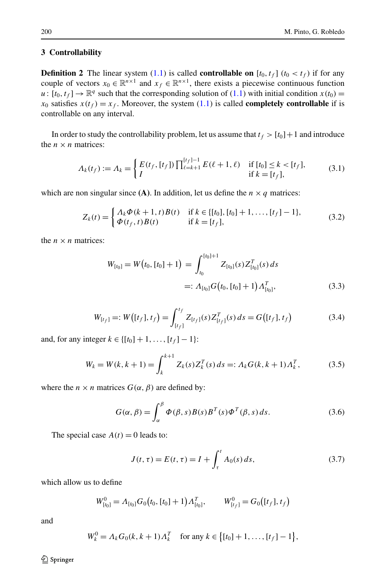## **3 Controllability**

**Definition 2** The linear system  $(1.1)$  $(1.1)$  is called **controllable on**  $[t_0, t_f]$   $(t_0 < t_f)$  if for any couple of vectors  $x_0 \in \mathbb{R}^{n \times 1}$  and  $x_f \in \mathbb{R}^{n \times 1}$ , there exists a piecewise continuous function  $u: [t_0, t_f] \to \mathbb{R}^q$  such that the corresponding solution of ([1.1\)](#page-0-0) with initial condition  $x(t_0)$  =  $x_0$  satisfies  $x(t_f) = x_f$ . Moreover, the system [\(1.1](#page-0-0)) is called **completely controllable** if is controllable on any interval.

In order to study the controllability problem, let us assume that  $t_f > [t_0]+1$  and introduce the  $n \times n$  matrices:

<span id="page-7-0"></span>
$$
\Lambda_k(t_f) := \Lambda_k = \begin{cases} E(t_f, [t_f]) \prod_{\ell=k+1}^{[t_f]-1} E(\ell+1, \ell) & \text{if } [t_0] \le k < [t_f], \\ I & \text{if } k = [t_f], \end{cases}
$$
(3.1)

which are non singular since **(A)**. In addition, let us define the  $n \times q$  matrices:

$$
Z_k(t) = \begin{cases} \Lambda_k \Phi(k+1, t) B(t) & \text{if } k \in \{[t_0], [t_0] + 1, \dots, [t_f] - 1\}, \\ \Phi(t_f, t) B(t) & \text{if } k = [t_f], \end{cases}
$$
(3.2)

the  $n \times n$  matrices:

<span id="page-7-2"></span>
$$
W_{[t_0]} = W(t_0, [t_0] + 1) = \int_{t_0}^{[t_0]+1} Z_{[t_0]}(s) Z_{[t_0]}^T(s) ds
$$
  
=:  $\Lambda_{[t_0]} G(t_0, [t_0] + 1) \Lambda_{[t_0]}^T,$  (3.3)

$$
W_{[t_f]} =: W([t_f], t_f) = \int_{[t_f]}^{t_f} Z_{[t_f]}(s) Z_{[t_f]}^T(s) \, ds = G([t_f], t_f) \tag{3.4}
$$

and, for any integer  $k \in \{[t_0] + 1, \ldots, [t_f] - 1\}$ :

$$
W_k = W(k, k+1) = \int_k^{k+1} Z_k(s) Z_k^T(s) ds =: \Lambda_k G(k, k+1) \Lambda_k^T,
$$
 (3.5)

where the  $n \times n$  matrices  $G(\alpha, \beta)$  are defined by:

<span id="page-7-1"></span>
$$
G(\alpha, \beta) = \int_{\alpha}^{\beta} \Phi(\beta, s) B(s) B^{T}(s) \Phi^{T}(\beta, s) ds.
$$
 (3.6)

The special case  $A(t) = 0$  leads to:

$$
J(t, \tau) = E(t, \tau) = I + \int_{\tau}^{t} A_0(s) ds,
$$
 (3.7)

which allow us to define

$$
W_{[t_0]}^0 = \Lambda_{[t_0]} G_0(t_0, [t_0] + 1) \Lambda_{[t_0]}^T, \qquad W_{[t_f]}^0 = G_0([t_f], t_f)
$$

and

$$
W_k^0 = \Lambda_k G_0(k, k+1) \Lambda_k^T \quad \text{for any } k \in \{ [t_0] + 1, \dots, [t_f] - 1 \},
$$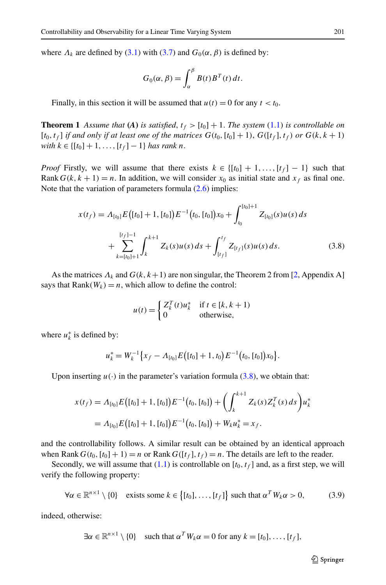<span id="page-8-2"></span>where  $\Lambda_k$  are defined by [\(3.1](#page-7-0)) with [\(3.7\)](#page-7-1) and  $G_0(\alpha, \beta)$  is defined by:

$$
G_0(\alpha, \beta) = \int_{\alpha}^{\beta} B(t) B^T(t) dt.
$$

Finally, in this section it will be assumed that  $u(t) = 0$  for any  $t < t_0$ .

<span id="page-8-0"></span>**Theorem 1** Assume that (A) is satisfied,  $t_f > [t_0] + 1$ . The system ([1.1](#page-0-0)) is controllable on  $[t_0, t_f]$  *if and only if at least one of the matrices*  $G(t_0, [t_0] + 1)$ ,  $G([t_f], t_f)$  *or*  $G(k, k + 1)$  $with \ k \in \{[t_0] + 1, \ldots, [t_f] - 1\} \ has \ rank \ n.$ 

*Proof* Firstly, we will assume that there exists  $k \in \{[t_0] + 1, \ldots, [t_f] - 1\}$  such that Rank  $G(k, k + 1) = n$ . In addition, we will consider  $x_0$  as initial state and  $x_f$  as final one. Note that the variation of parameters formula  $(2.6)$  $(2.6)$  implies:

$$
x(t_f) = A_{[t_0]} E([t_0] + 1, [t_0]) E^{-1}(t_0, [t_0]) x_0 + \int_{t_0}^{[t_0]+1} Z_{[t_0]}(s) u(s) ds + \sum_{k=[t_0]+1}^{[t_f]-1} \int_{k}^{k+1} Z_k(s) u(s) ds + \int_{[t_f]}^{t_f} Z_{[t_f]}(s) u(s) ds.
$$
 (3.8)

As the matrices  $\Lambda_k$  and  $G(k, k+1)$  are non singular, the Theorem 2 from [\[2](#page-22-28), Appendix A] says that  $Rank(W_k) = n$ , which allow to define the control:

<span id="page-8-1"></span>
$$
u(t) = \begin{cases} Z_k^T(t)u_k^* & \text{if } t \in [k, k+1) \\ 0 & \text{otherwise,} \end{cases}
$$

where  $u_k^*$  is defined by:

$$
u_k^* = W_k^{-1}\big\{x_f - A_{[t_0]}E([t_0]+1,t_0)E^{-1}(t_0,[t_0])x_0\big\}.
$$

Upon inserting  $u(\cdot)$  in the parameter's variation formula ([3.8](#page-8-0)), we obtain that:

$$
x(t_f) = A_{[t_0]} E([t_0] + 1, [t_0]) E^{-1}(t_0, [t_0]) + \left(\int_k^{k+1} Z_k(s) Z_k^T(s) ds\right) u_k^*
$$
  
=  $A_{[t_0]} E([t_0] + 1, [t_0]) E^{-1}(t_0, [t_0]) + W_k u_k^* = x_f.$ 

and the controllability follows. A similar result can be obtained by an identical approach when Rank  $G(t_0, [t_0] + 1) = n$  or Rank  $G([t_f], t_f) = n$ . The details are left to the reader.

Secondly, we will assume that  $(1.1)$  $(1.1)$  is controllable on  $[t_0, t_f]$  and, as a first step, we will verify the following property:

$$
\forall \alpha \in \mathbb{R}^{n \times 1} \setminus \{0\} \quad \text{exists some } k \in \big\{ [t_0], \dots, [t_f] \big\} \text{ such that } \alpha^T W_k \alpha > 0,
$$
 (3.9)

indeed, otherwise:

$$
\exists \alpha \in \mathbb{R}^{n \times 1} \setminus \{0\} \quad \text{such that } \alpha^T W_k \alpha = 0 \text{ for any } k = [t_0], \dots, [t_f],
$$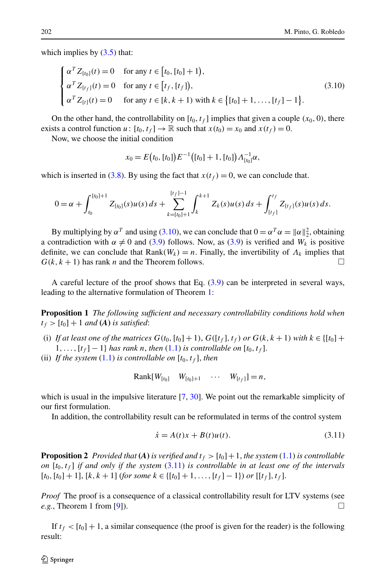which implies by  $(3.5)$  $(3.5)$  $(3.5)$  that:

$$
\begin{cases}\n\alpha^T Z_{[t_0]}(t) = 0 & \text{for any } t \in [t_0, [t_0] + 1), \\
\alpha^T Z_{[t_f]}(t) = 0 & \text{for any } t \in [t_f, [t_f]), \\
\alpha^T Z_{[t]}(t) = 0 & \text{for any } t \in [k, k + 1) \text{ with } k \in \{[t_0] + 1, \dots, [t_f] - 1\}.\n\end{cases}
$$
\n(3.10)

On the other hand, the controllability on  $[t_0, t_f]$  implies that given a couple  $(x_0, 0)$ , there exists a control function  $u: [t_0, t_f] \to \mathbb{R}$  such that  $x(t_0) = x_0$  and  $x(t_f) = 0$ .

Now, we choose the initial condition

<span id="page-9-0"></span>
$$
x_0 = E(t_0, [t_0]) E^{-1}([t_0] + 1, [t_0]) \Lambda_{[t_0]}^{-1} \alpha,
$$

which is inserted in [\(3.8](#page-8-0)). By using the fact that  $x(t_f) = 0$ , we can conclude that.

$$
0 = \alpha + \int_{t_0}^{[t_0]+1} Z_{[t_0]}(s)u(s) \, ds + \sum_{k=[t_0]+1}^{[t_f]-1} \int_{k}^{k+1} Z_k(s)u(s) \, ds + \int_{[t_f]}^{t_f} Z_{[t_f]}(s)u(s) \, ds.
$$

By multiplying by  $\alpha^T$  and using [\(3.10\)](#page-9-0), we can conclude that  $0 = \alpha^T \alpha = ||\alpha||_2^2$ , obtaining a contradiction with  $\alpha \neq 0$  and [\(3.9\)](#page-8-1) follows. Now, as (3.9) is verified and  $W_k$  is positive definite, we can conclude that Rank $(W_k) = n$ . Finally, the invertibility of  $\Lambda_k$  implies that  $G(k, k + 1)$  has rank *n* and the Theorem follows.

A careful lecture of the proof shows that Eq. ([3.9\)](#page-8-1) can be interpreted in several ways, leading to the alternative formulation of Theorem [1](#page-8-2):

**Proposition 1** *The following sufficient and necessary controllability conditions hold when*  $t_f$  >  $[t_0]$  + 1 *and* (*A*) *is satisfied*:

- (i) If at least one of the matrices  $G(t_0, [t_0] + 1)$ ,  $G([t_f], t_f)$  or  $G(k, k + 1)$  with  $k \in \{[t_0] +$  $1, \ldots, [t_f] - 1$ } *has rank n, then* [\(1.1](#page-0-0)) *is controllable on*  $[t_0, t_f]$ .
- (ii) If the system  $(1.1)$  $(1.1)$  is controllable on  $[t_0, t_f]$ , then

<span id="page-9-1"></span>
$$
Rank[W_{[t_0]} \quad W_{[t_0]+1} \quad \cdots \quad W_{[t_f]}]=n,
$$

which is usual in the impulsive literature [[7,](#page-22-23) [30\]](#page-22-27). We point out the remarkable simplicity of our first formulation.

In addition, the controllability result can be reformulated in terms of the control system

$$
\dot{x} = A(t)x + B(t)u(t).
$$
 (3.11)

**Proposition 2** Provided that (A) is verified and  $t_f > [t_0] + 1$ , the system [\(1.1](#page-0-0)) is controllable *on* [ $t_0, t_f$ ] *if and only if the system* ([3.11](#page-9-1)) *is controllable in at least one of the intervals*  $[t_0, [t_0]+1]$ ,  $[k, k+1]$  (*for some*  $k \in \{[t_0]+1, \ldots, [t_f]-1\}$ ) *or*  $[[t_f], t_f]$ .

*Proof* The proof is a consequence of a classical controllability result for LTV systems (see *e.g.*, Theorem 1 from [\[9](#page-22-1)]).

If  $t_f < [t_0] + 1$ , a similar consequence (the proof is given for the reader) is the following result: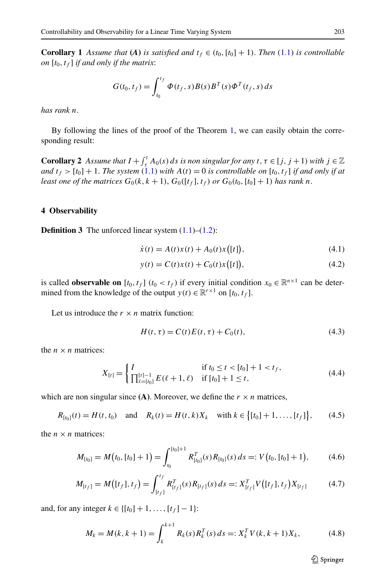**Corollary 1** *Assume that* (*A*) *is satisfied and*  $t_f \in (t_0, [t_0] + 1)$ *. Then* ([1.1](#page-0-0)) *is controllable on*  $[t_0, t_f]$  *if and only if the matrix:* 

$$
G(t_0, t_f) = \int_{t_0}^{t_f} \Phi(t_f, s) B(s) B^T(s) \Phi^T(t_f, s) ds
$$

*has rank n*.

By following the lines of the proof of the Theorem [1,](#page-8-2) we can easily obtain the corresponding result:

<span id="page-10-2"></span><span id="page-10-1"></span>**Corollary 2** *Assume that*  $I + \int_{\tau}^{t} A_0(s) ds$  *is non singular for any*  $t, \tau \in [j, j + 1)$  *with*  $j \in \mathbb{Z}$ *and*  $t_f$  >  $[t_0]$  + 1. *The system* [\(1.1](#page-0-0)) *with*  $A(t) = 0$  *is controllable on*  $[t_0, t_f]$  *if and only if at least one of the matrices*  $G_0(k, k + 1)$ ,  $G_0([t_f], t_f)$  *or*  $G_0(t_0, [t_0] + 1)$  *has rank n*.

#### **4 Observability**

**Definition 3** The unforced linear system  $(1.1)$  $(1.1)$ – $(1.2)$  $(1.2)$ :

<span id="page-10-3"></span>
$$
\dot{x}(t) = A(t)x(t) + A_0(t)x([t]),
$$
\n(4.1)

<span id="page-10-0"></span>
$$
y(t) = C(t)x(t) + C_0(t)x([t]),
$$
\n(4.2)

is called **observable on**  $[t_0, t_f]$  ( $t_0 < t_f$ ) if every initial condition  $x_0 \in \mathbb{R}^{n \times 1}$  can be determined from the knowledge of the output  $y(t) \in \mathbb{R}^{r \times 1}$  on  $[t_0, t_f]$ .

Let us introduce the  $r \times n$  matrix function:

$$
H(t, \tau) = C(t)E(t, \tau) + C_0(t),
$$
\n(4.3)

the  $n \times n$  matrices:

$$
X_{[t]} = \begin{cases} I & \text{if } t_0 \le t < [t_0] + 1 < t_f, \\ \prod_{\ell = [t_0]}^{[t] - 1} E(\ell + 1, \ell) & \text{if } [t_0] + 1 \le t, \end{cases}
$$
(4.4)

which are non singular since  $(A)$ . Moreover, we define the  $r \times n$  matrices,

$$
R_{[t_0]}(t) = H(t, t_0) \text{ and } R_k(t) = H(t, k)X_k \text{ with } k \in \{[t_0] + 1, \dots, [t_f]\},\qquad(4.5)
$$

the  $n \times n$  matrices:

$$
M_{[t_0]} = M(t_0, [t_0] + 1) = \int_{t_0}^{[t_0]+1} R_{[t_0]}^T(s) R_{[t_0]}(s) ds =: V(t_0, [t_0] + 1), \quad (4.6)
$$

$$
M_{[t_f]} = M([t_f], t_f) = \int_{[t_f]}^{t_f} R_{[t_f]}^T(s) R_{[t_f]}(s) ds =: X_{[t_f]}^T V([t_f], t_f) X_{[t_f]}
$$
(4.7)

and, for any integer  $k \in \{ [t_0] + 1, ..., [t_f] - 1 \}$ :

$$
M_k = M(k, k+1) = \int_k^{k+1} R_k(s) R_k^T(s) ds =: X_k^T V(k, k+1) X_k,
$$
 (4.8)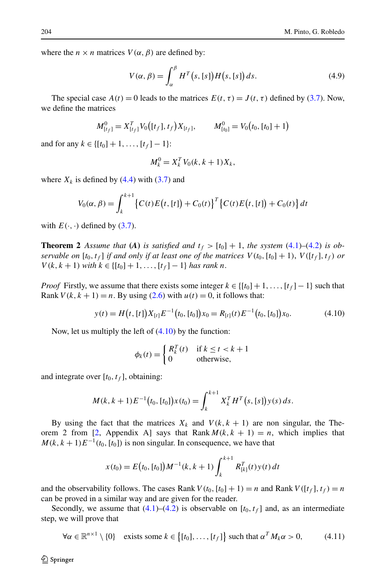where the  $n \times n$  matrices  $V(\alpha, \beta)$  are defined by:

$$
V(\alpha, \beta) = \int_{\alpha}^{\beta} H^{T}(s, [s]) H(s, [s]) ds.
$$
 (4.9)

The special case  $A(t) = 0$  leads to the matrices  $E(t, \tau) = J(t, \tau)$  defined by ([3.7\)](#page-7-1). Now, we define the matrices

$$
M_{[t_f]}^0 = X_{[t_f]}^T V_0([t_f], t_f) X_{[t_f]}, \qquad M_{[t_0]}^0 = V_0(t_0, [t_0] + 1)
$$

and for any  $k \in \{[t_0] + 1, \ldots, [t_f] - 1\}$ :

<span id="page-11-0"></span>
$$
M_k^0 = X_k^T V_0(k, k+1) X_k,
$$

<span id="page-11-2"></span>where  $X_k$  is defined by  $(4.4)$  $(4.4)$  with  $(3.7)$  $(3.7)$  and

$$
V_0(\alpha, \beta) = \int_k^{k+1} \left\{ C(t)E(t, [t]) + C_0(t) \right\}^T \left\{ C(t)E(t, [t]) + C_0(t) \right\} dt
$$

with  $E(\cdot, \cdot)$  defined by ([3.7\)](#page-7-1).

**Theorem 2** Assume that (A) is satisfied and  $t_f > [t_0] + 1$ , the system ([4.1\)](#page-10-1)–([4.2](#page-10-2)) is ob*servable on*  $[t_0, t_f]$  *if and only if at least one of the matrices*  $V(t_0, [t_0] + 1)$ ,  $V([t_f], t_f)$  *or V*(*k*, *k* + 1) *with*  $k \in \{[t_0] + 1, \ldots, [t_f] - 1\}$  *has rank n.* 

*Proof* Firstly, we assume that there exists some integer  $k \in \{[t_0] + 1, \ldots, [t_f] - 1\}$  such that Rank  $V(k, k + 1) = n$ . By using [\(2.6](#page-4-1)) with  $u(t) = 0$ , it follows that:

$$
y(t) = H(t, [t]) X_{[t]} E^{-1}(t_0, [t_0]) x_0 = R_{[t]}(t) E^{-1}(t_0, [t_0]) x_0.
$$
 (4.10)

Now, let us multiply the left of  $(4.10)$  by the function:

$$
\phi_k(t) = \begin{cases} R_k^T(t) & \text{if } k \le t < k+1 \\ 0 & \text{otherwise,} \end{cases}
$$

and integrate over  $[t_0, t_f]$ , obtaining:

$$
M(k, k+1)E^{-1}(t_0, [t_0])x(t_0) = \int_k^{k+1} X_k^T H^T(s, [s])y(s) ds.
$$

By using the fact that the matrices  $X_k$  and  $V(k, k + 1)$  are non singular, the The-orem 2 from [\[2,](#page-22-28) Appendix A] says that Rank  $M(k, k + 1) = n$ , which implies that  $M(k, k+1)E^{-1}(t_0, [t_0])$  is non singular. In consequence, we have that

<span id="page-11-1"></span>
$$
x(t_0) = E(t_0, [t_0])M^{-1}(k, k+1)\int_k^{k+1} R_{[k]}^T(t)y(t) dt
$$

and the observability follows. The cases Rank  $V(t_0, [t_0] + 1) = n$  and Rank  $V([t_f], t_f) = n$ can be proved in a similar way and are given for the reader.

Secondly, we assume that  $(4.1)$  $(4.1)$  $(4.1)$ – $(4.2)$  $(4.2)$  $(4.2)$  is observable on  $[t_0, t_f]$  and, as an intermediate step, we will prove that

$$
\forall \alpha \in \mathbb{R}^{n \times 1} \setminus \{0\} \quad \text{exists some } k \in \{[t_0], \dots, [t_f]\} \text{ such that } \alpha^T M_k \alpha > 0,
$$
 (4.11)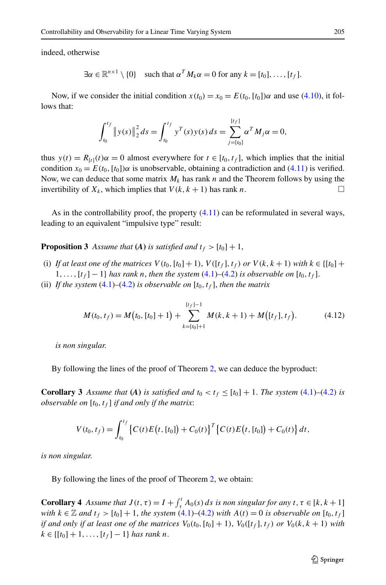indeed, otherwise

$$
\exists \alpha \in \mathbb{R}^{n \times 1} \setminus \{0\} \quad \text{such that } \alpha^T M_k \alpha = 0 \text{ for any } k = [t_0], \dots, [t_f].
$$

Now, if we consider the initial condition  $x(t_0) = x_0 = E(t_0, [t_0])\alpha$  and use [\(4.10\)](#page-11-0), it follows that:

$$
\int_{t_0}^{t_f} \|y(s)\|_2^2 ds = \int_{t_0}^{t_f} y^T(s)y(s) ds = \sum_{j=[t_0]}^{[t_f]} \alpha^T M_j \alpha = 0,
$$

thus  $y(t) = R_{[t]}(t)\alpha = 0$  almost everywhere for  $t \in [t_0, t_f]$ , which implies that the initial condition  $x_0 = E(t_0, [t_0])\alpha$  is unobservable, obtaining a contradiction and ([4.11](#page-11-1)) is verified. Now, we can deduce that some matrix  $M_k$  has rank *n* and the Theorem follows by using the invertibility of  $X_k$ , which implies that  $V(k, k + 1)$  has rank *n*.

As in the controllability proof, the property  $(4.11)$  can be reformulated in several ways, leading to an equivalent "impulsive type" result:

**Proposition 3** Assume that **(A)** is satisfied and  $t_f > [t_0] + 1$ ,

- (i) If at least one of the matrices  $V(t_0, [t_0] + 1)$ ,  $V([t_f], t_f)$  or  $V(k, k + 1)$  with  $k \in \{[t_0] +$  $1, \ldots, [t_f] - 1$  *has rank n, then the system* ([4.1\)](#page-10-1)–([4.2](#page-10-2)) *is observable on*  $[t_0, t_f]$ .
- <span id="page-12-0"></span>(ii) If the system  $(4.1)$  $(4.1)$ – $(4.2)$  $(4.2)$  is observable on  $[t_0, t_f]$ , then the matrix

$$
M(t_0, t_f) = M(t_0, [t_0] + 1) + \sum_{k=[t_0]+1}^{[t_f]-1} M(k, k+1) + M([t_f], t_f).
$$
 (4.12)

*is non singular*.

By following the lines of the proof of Theorem [2,](#page-11-2) we can deduce the byproduct:

**Corollary 3** *Assume that* **(A)** *is satisfied and*  $t_0 < t_f \leq [t_0] + 1$ *. The system* **[\(4.1](#page-10-1))**–**[\(4.2](#page-10-2))** *is observable on*  $[t_0, t_f]$  *if and only if the matrix:* 

$$
V(t_0, t_f) = \int_{t_0}^{t_f} \left\{ C(t) E(t, [t_0]) + C_0(t) \right\}^T \left\{ C(t) E(t, [t_0]) + C_0(t) \right\} dt,
$$

*is non singular*.

By following the lines of the proof of Theorem [2,](#page-11-2) we obtain:

**Corollary 4** *Assume that*  $J(t, \tau) = I + \int_{\tau}^{t} A_0(s) ds$  *is non singular for any*  $t, \tau \in [k, k + 1]$ *with*  $k \in \mathbb{Z}$  *and*  $t_f > [t_0] + 1$ *, the system* ([4.1\)](#page-10-1)–([4.2\)](#page-10-2) *with*  $A(t) = 0$  *is observable on*  $[t_0, t_f]$ *if and only if at least one of the matrices*  $V_0(t_0, [t_0] + 1)$ ,  $V_0([t_f], t_f)$  *or*  $V_0(k, k + 1)$  *with*  $k \in \{[t_0] + 1, \ldots, [t_f] - 1\}$  *has rank n.*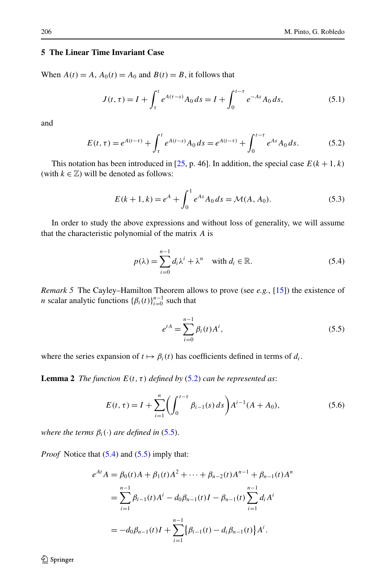# **5 The Linear Time Invariant Case**

When  $A(t) = A$ ,  $A_0(t) = A_0$  and  $B(t) = B$ , it follows that

<span id="page-13-5"></span><span id="page-13-4"></span><span id="page-13-0"></span>
$$
J(t,\tau) = I + \int_{\tau}^{t} e^{A(\tau-s)} A_0 ds = I + \int_{0}^{t-\tau} e^{-As} A_0 ds,
$$
 (5.1)

and

$$
E(t,\tau) = e^{A(t-\tau)} + \int_{\tau}^{t} e^{A(t-s)} A_0 ds = e^{A(t-\tau)} + \int_{0}^{t-\tau} e^{As} A_0 ds.
$$
 (5.2)

This notation has been introduced in [[25](#page-22-6), p. 46]. In addition, the special case  $E(k+1, k)$ (with  $k \in \mathbb{Z}$ ) will be denoted as follows:

$$
E(k+1,k) = e^{A} + \int_{0}^{1} e^{As} A_0 ds = \mathcal{M}(A, A_0).
$$
 (5.3)

In order to study the above expressions and without loss of generality, we will assume that the characteristic polynomial of the matrix *A* is

<span id="page-13-2"></span>
$$
p(\lambda) = \sum_{i=0}^{n-1} d_i \lambda^i + \lambda^n \quad \text{with } d_i \in \mathbb{R}.
$$
 (5.4)

<span id="page-13-6"></span>*Remark 5* The Cayley–Hamilton Theorem allows to prove (see *e.g.*, [[15](#page-22-29)]) the existence of *n* scalar analytic functions  $\{\beta_i(t)\}_{i=0}^{n-1}$  such that

<span id="page-13-3"></span><span id="page-13-1"></span>
$$
e^{tA} = \sum_{i=0}^{n-1} \beta_i(t) A^i, \tag{5.5}
$$

where the series expansion of  $t \mapsto \beta_i(t)$  has coefficients defined in terms of  $d_i$ .

**Lemma 2** *The function*  $E(t, \tau)$  *defined by* ([5.2\)](#page-13-0) *can be represented as:* 

$$
E(t,\tau) = I + \sum_{i=1}^{n} \left( \int_{0}^{t-\tau} \beta_{i-1}(s) \, ds \right) A^{i-1}(A + A_0),\tag{5.6}
$$

*where the terms*  $\beta_i(\cdot)$  *are defined in* ([5.5\)](#page-13-1).

*Proof* Notice that [\(5.4\)](#page-13-2) and ([5.5](#page-13-1)) imply that:

$$
e^{At} A = \beta_0(t)A + \beta_1(t)A^2 + \dots + \beta_{n-2}(t)A^{n-1} + \beta_{n-1}(t)A^n
$$
  
= 
$$
\sum_{i=1}^{n-1} \beta_{i-1}(t)A^i - d_0\beta_{n-1}(t)I - \beta_{n-1}(t)\sum_{i=1}^{n-1} d_i A^i
$$
  
= 
$$
-d_0\beta_{n-1}(t)I + \sum_{i=1}^{n-1} {\beta_{i-1}(t) - d_i\beta_{n-1}(t)}A^i.
$$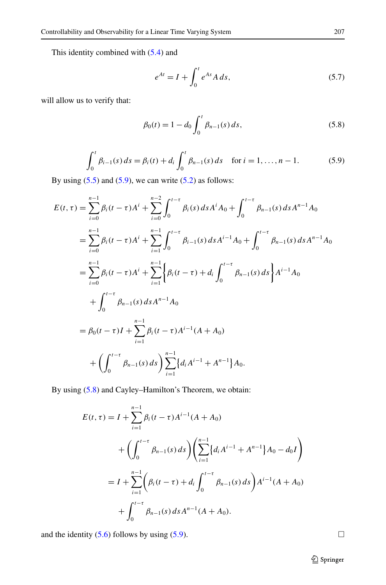This identity combined with [\(5.4](#page-13-2)) and

$$
e^{At} = I + \int_0^t e^{As} A ds,
$$
\n(5.7)

will allow us to verify that:

$$
\beta_0(t) = 1 - d_0 \int_0^t \beta_{n-1}(s) \, ds,\tag{5.8}
$$

$$
\int_0^t \beta_{i-1}(s) ds = \beta_i(t) + d_i \int_0^t \beta_{n-1}(s) ds \quad \text{for } i = 1, ..., n-1.
$$
 (5.9)

By using  $(5.5)$  $(5.5)$  and  $(5.9)$  $(5.9)$ , we can write  $(5.2)$  $(5.2)$  as follows:

$$
E(t,\tau) = \sum_{i=0}^{n-1} \beta_i (t-\tau) A^i + \sum_{i=0}^{n-2} \int_0^{t-\tau} \beta_i(s) ds A^i A_0 + \int_0^{t-\tau} \beta_{n-1}(s) ds A^{n-1} A_0
$$
  
\n
$$
= \sum_{i=0}^{n-1} \beta_i (t-\tau) A^i + \sum_{i=1}^{n-1} \int_0^{t-\tau} \beta_{i-1}(s) ds A^{i-1} A_0 + \int_0^{t-\tau} \beta_{n-1}(s) ds A^{n-1} A_0
$$
  
\n
$$
= \sum_{i=0}^{n-1} \beta_i (t-\tau) A^i + \sum_{i=1}^{n-1} \left\{ \beta_i (t-\tau) + d_i \int_0^{t-\tau} \beta_{n-1}(s) ds \right\} A^{i-1} A_0
$$
  
\n
$$
+ \int_0^{t-\tau} \beta_{n-1}(s) ds A^{n-1} A_0
$$
  
\n
$$
= \beta_0 (t-\tau) I + \sum_{i=1}^{n-1} \beta_i (t-\tau) A^{i-1} (A + A_0)
$$
  
\n
$$
+ \left( \int_0^{t-\tau} \beta_{n-1}(s) ds \right) \sum_{i=1}^{n-1} \left\{ d_i A^{i-1} + A^{n-1} \right\} A_0.
$$

By using [\(5.8](#page-14-1)) and Cayley–Hamilton's Theorem, we obtain:

$$
E(t, \tau) = I + \sum_{i=1}^{n-1} \beta_i (t - \tau) A^{i-1} (A + A_0)
$$
  
+ 
$$
\left( \int_0^{t-\tau} \beta_{n-1}(s) ds \right) \left( \sum_{i=1}^{n-1} \{ d_i A^{i-1} + A^{n-1} \} A_0 - d_0 I \right)
$$
  
= 
$$
I + \sum_{i=1}^{n-1} \left( \beta_i (t - \tau) + d_i \int_0^{t-\tau} \beta_{n-1}(s) ds \right) A^{i-1} (A + A_0)
$$
  
+ 
$$
\int_0^{t-\tau} \beta_{n-1}(s) ds A^{n-1} (A + A_0).
$$

and the identity  $(5.6)$  $(5.6)$  follows by using  $(5.9)$  $(5.9)$ .

<span id="page-14-1"></span><span id="page-14-0"></span>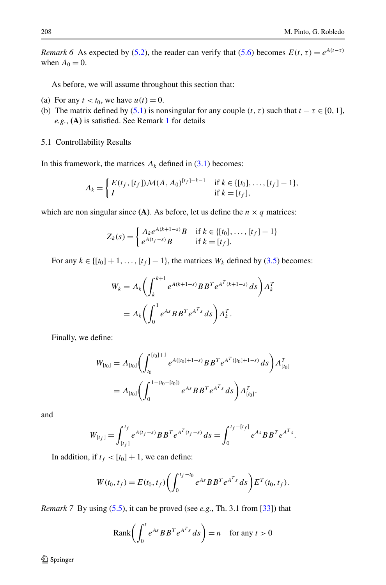*Remark 6* As expected by [\(5.2\)](#page-13-0), the reader can verify that [\(5.6](#page-13-3)) becomes  $E(t, \tau) = e^{A(t-\tau)}$ when  $A_0 = 0$ .

As before, we will assume throughout this section that:

- (a) For any  $t < t_0$ , we have  $u(t) = 0$ .
- (b) The matrix defined by ([5.1\)](#page-13-4) is nonsingular for any couple  $(t, \tau)$  such that  $t \tau \in [0, 1]$ , *e.g.*, **(A)** is satisfied. See Remark [1](#page-3-3) for details
- 5.1 Controllability Results

In this framework, the matrices  $\Lambda_k$  defined in [\(3.1](#page-7-0)) becomes:

$$
\Lambda_k = \begin{cases} E(t_f, [t_f]) \mathcal{M}(A, A_0)^{[t_f]-k-1} & \text{if } k \in \{[t_0], \dots, [t_f]-1\}, \\ I & \text{if } k = [t_f], \end{cases}
$$

which are non singular since **(A)**. As before, let us define the  $n \times q$  matrices:

$$
Z_k(s) = \begin{cases} \Lambda_k e^{A(k+1-s)} B & \text{if } k \in \{[t_0], \dots, [t_f] - 1\} \\ e^{A(t_f-s)} B & \text{if } k = [t_f]. \end{cases}
$$

For any  $k \in \{[t_0] + 1, \ldots, [t_f] - 1\}$ , the matrices  $W_k$  defined by ([3.5](#page-7-2)) becomes:

$$
W_k = \Lambda_k \left( \int_k^{k+1} e^{A(k+1-s)} B B^T e^{A^T (k+1-s)} ds \right) \Lambda_k^T
$$
  
=  $\Lambda_k \left( \int_0^1 e^{As} B B^T e^{A^T s} ds \right) \Lambda_k^T$ .

Finally, we define:

$$
W_{[t_0]} = \Lambda_{[t_0]} \bigg( \int_{t_0}^{[t_0]+1} e^{A([t_0]+1-s)} B B^T e^{A^T([t_0]+1-s)} ds \bigg) \Lambda_{[t_0]}^T
$$
  
=  $\Lambda_{[t_0]} \bigg( \int_0^{1-(t_0-[t_0])} e^{As} B B^T e^{A^T s} ds \bigg) \Lambda_{[t_0]}^T.$ 

<span id="page-15-0"></span>and

$$
W_{[t_f]} = \int_{[t_f]}^{t_f} e^{A(t_f - s)} B B^T e^{A^T(t_f - s)} ds = \int_0^{t_f - [t_f]} e^{As} B B^T e^{A^T s}.
$$

In addition, if  $t_f < [t_0] + 1$ , we can define:

$$
W(t_0, t_f) = E(t_0, t_f) \bigg( \int_0^{t_f - t_0} e^{As} B B^T e^{A^T s} ds \bigg) E^T(t_0, t_f).
$$

*Remark 7* By using ([5.5](#page-13-1)), it can be proved (see *e.g.*, Th. 3.1 from [\[33\]](#page-23-2)) that

$$
Rank\bigg(\int_0^t e^{As} BB^T e^{A^T s} ds\bigg) = n \quad \text{for any } t > 0
$$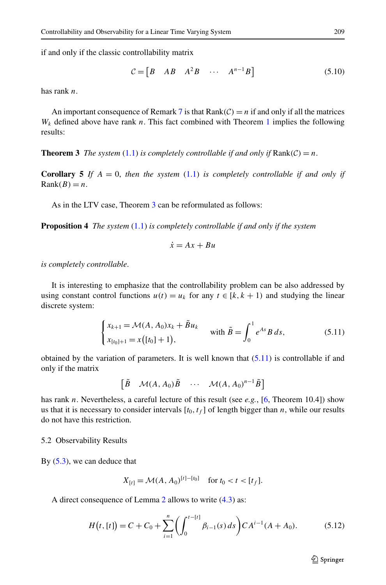if and only if the classic controllability matrix

$$
\mathcal{C} = \begin{bmatrix} B & AB & A^2B & \cdots & A^{n-1}B \end{bmatrix}
$$
 (5.10)

<span id="page-16-0"></span>has rank *n*.

An important consequence of Remark [7](#page-15-0) is that  $Rank(C) = n$  if and only if all the matrices  $W_k$  defined above have rank *n*. This fact combined with Theorem [1](#page-8-2) implies the following results:

**Theorem 3** *The system* ([1.1](#page-0-0)) *is completely controllable if and only if*  $Rank(\mathcal{C}) = n$ .

**Corollary 5** If  $A = 0$ , then the system  $(1.1)$  $(1.1)$  is completely controllable if and only if  $Rank(B) = n$ .

As in the LTV case. Theorem [3](#page-16-0) can be reformulated as follows:

**Proposition 4** *The system* ([1.1](#page-0-0)) *is completely controllable if and only if the system*

<span id="page-16-1"></span>
$$
\dot{x} = Ax + Bu
$$

*is completely controllable*.

It is interesting to emphasize that the controllability problem can be also addressed by using constant control functions  $u(t) = u_k$  for any  $t \in [k, k + 1)$  and studying the linear discrete system:

$$
\begin{cases} x_{k+1} = \mathcal{M}(A, A_0)x_k + \tilde{B}u_k \\ x_{[t_0]+1} = x([t_0]+1), \end{cases} \text{ with } \tilde{B} = \int_0^1 e^{As} B ds, \tag{5.11}
$$

obtained by the variation of parameters. It is well known that  $(5.11)$  $(5.11)$  $(5.11)$  is controllable if and only if the matrix

$$
\begin{bmatrix} \tilde{B} & \mathcal{M}(A, A_0) \tilde{B} & \cdots & \mathcal{M}(A, A_0)^{n-1} \tilde{B} \end{bmatrix}
$$

has rank *n*. Nevertheless, a careful lecture of this result (see *e.g.*, [\[6](#page-22-2), Theorem 10.4]) show us that it is necessary to consider intervals  $[t_0, t_f]$  of length bigger than *n*, while our results do not have this restriction.

#### 5.2 Observability Results

By  $(5.3)$  $(5.3)$ , we can deduce that

<span id="page-16-2"></span>
$$
X_{[t]} = \mathcal{M}(A, A_0)^{[t]-[t_0]} \quad \text{for } t_0 < t < [t_f].
$$

A direct consequence of Lemma [2](#page-13-6) allows to write ([4.3\)](#page-10-3) as:

$$
H(t, [t]) = C + C_0 + \sum_{i=1}^{n} \left( \int_0^{t-[t]} \beta_{i-1}(s) ds \right) C A^{i-1} (A + A_0).
$$
 (5.12)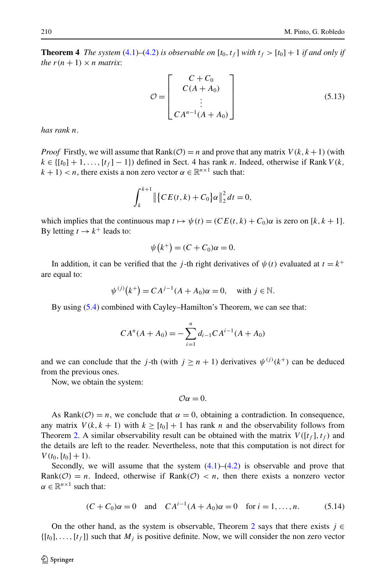<span id="page-17-2"></span>**Theorem 4** *The system* ([4.1\)](#page-10-1)–([4.2\)](#page-10-2) *is observable on*  $[t_0, t_f]$  *with*  $t_f > [t_0] + 1$  *if and only if the*  $r(n + 1) \times n$  *matrix*:

<span id="page-17-1"></span>
$$
\mathcal{O} = \begin{bmatrix} C + C_0 \\ C(A + A_0) \\ \vdots \\ C A^{n-1} (A + A_0) \end{bmatrix}
$$
 (5.13)

*has rank n*.

*Proof* Firstly, we will assume that Rank $(\mathcal{O}) = n$  and prove that any matrix  $V(k, k+1)$  (with  $k \in \{ [t_0] + 1, \ldots, [t_f] - 1 \}$  defined in Sect. 4 has rank *n*. Indeed, otherwise if Rank *V* (k,  $k + 1$  < *n*, there exists a non zero vector  $\alpha \in \mathbb{R}^{n \times 1}$  such that:

$$
\int_{k}^{k+1} \| \{ CE(t, k) + C_0 \} \alpha \|_2^2 dt = 0,
$$

which implies that the continuous map  $t \mapsto \psi(t) = (CE(t, k) + C_0)\alpha$  is zero on [k, k + 1]. By letting  $t \to k^+$  leads to:

$$
\psi(k^+) = (C + C_0)\alpha = 0.
$$

In addition, it can be verified that the *j*-th right derivatives of  $\psi(t)$  evaluated at  $t = k^+$ are equal to:

$$
\psi^{(j)}(k^+) = CA^{j-1}(A + A_0)\alpha = 0
$$
, with  $j \in \mathbb{N}$ .

By using [\(5.4](#page-13-2)) combined with Cayley–Hamilton's Theorem, we can see that:

$$
CA^{n}(A + A_{0}) = -\sum_{i=1}^{n} d_{i-1}CA^{i-1}(A + A_{0})
$$

and we can conclude that the *j*-th (with  $j \ge n + 1$ ) derivatives  $\psi^{(j)}(k^+)$  can be deduced from the previous ones.

Now, we obtain the system:

<span id="page-17-0"></span>
$$
\mathcal{O}\alpha=0.
$$

As Rank $(\mathcal{O}) = n$ , we conclude that  $\alpha = 0$ , obtaining a contradiction. In consequence, any matrix  $V(k, k + 1)$  with  $k \geq [t_0] + 1$  has rank *n* and the observability follows from Theorem [2.](#page-11-2) A similar observability result can be obtained with the matrix  $V([t_f], t_f)$  and the details are left to the reader. Nevertheless, note that this computation is not direct for  $V(t_0, [t_0] + 1)$ .

Secondly, we will assume that the system  $(4.1)$ – $(4.2)$  $(4.2)$  is observable and prove that Rank $(O) = n$ . Indeed, otherwise if Rank $(O) < n$ , then there exists a nonzero vector  $\alpha \in \mathbb{R}^{n \times 1}$  such that:

$$
(C + C_0)\alpha = 0 \quad \text{and} \quad CA^{i-1}(A + A_0)\alpha = 0 \quad \text{for } i = 1, ..., n. \tag{5.14}
$$

On the other hand, as the system is observable, Theorem [2](#page-11-2) says that there exists  $j \in$  $\{[t_0], \ldots, [t_f]\}$  such that  $M_j$  is positive definite. Now, we will consider the non zero vector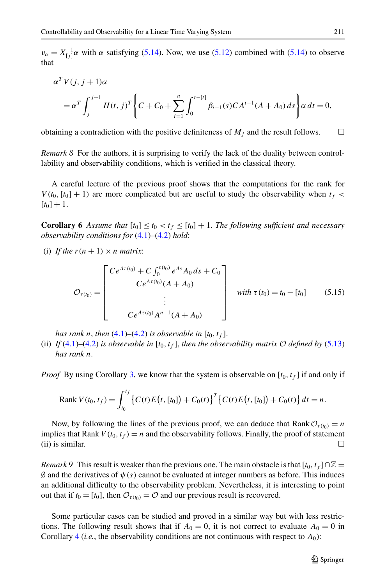$v_{\alpha} = X_{[j]}^{-1} \alpha$  with  $\alpha$  satisfying [\(5.14\)](#page-17-0). Now, we use ([5.12](#page-16-2)) combined with (5.14) to observe that

$$
\alpha^T V(j, j+1) \alpha
$$
  
=  $\alpha^T \int_j^{j+1} H(t, j)^T \left\{ C + C_0 + \sum_{i=1}^n \int_0^{t-[t]} \beta_{i-1}(s) C A^{i-1} (A + A_0) ds \right\} \alpha dt = 0,$ 

obtaining a contradiction with the positive definiteness of  $M_j$  and the result follows.  $\Box$ 

<span id="page-18-0"></span>*Remark 8* For the authors, it is surprising to verify the lack of the duality between controllability and observability conditions, which is verified in the classical theory.

A careful lecture of the previous proof shows that the computations for the rank for  $V(t_0, [t_0] + 1)$  are more complicated but are useful to study the observability when  $t_f$  $[t_0] + 1.$ 

**Corollary 6** *Assume that*  $[t_0] \le t_0 < t_f \le [t_0] + 1$ . The following sufficient and necessary *observability conditions for* ([4.1\)](#page-10-1)*–*([4.2](#page-10-2)) *hold*:

(i) If the  $r(n + 1) \times n$  matrix:

$$
\mathcal{O}_{\tau(t_0)} = \begin{bmatrix} Ce^{A\tau(t_0)} + C \int_0^{\tau(t_0)} e^{As} A_0 ds + C_0 \\ Ce^{A\tau(t_0)} (A + A_0) \\ \vdots \\ Ce^{A\tau(t_0)} A^{n-1} (A + A_0) \end{bmatrix} \quad \text{with } \tau(t_0) = t_0 - [t_0] \quad (5.15)
$$

*has rank n, then*  $(4.1)$ – $(4.2)$  $(4.2)$  *is observable in*  $[t_0, t_f]$ *.* 

(ii) *If* [\(4.1](#page-10-1))–[\(4.2](#page-10-2)) *is observable in*  $[t_0, t_f]$ *, then the observability matrix*  $\mathcal O$  *defined by* ([5.13](#page-17-1)) *has rank n*.

*Proof* By using Corollary [3](#page-12-0), we know that the system is observable on  $[t_0, t_f]$  if and only if

Rank 
$$
V(t_0, t_f) = \int_{t_0}^{t_f} \left\{ C(t)E(t, [t_0]) + C_0(t) \right\}^T \left\{ C(t)E(t, [t_0]) + C_0(t) \right\} dt = n.
$$

Now, by following the lines of the previous proof, we can deduce that Rank  $\mathcal{O}_{\tau(h)} = n$ implies that Rank  $V(t_0, t_f) = n$  and the observability follows. Finally, the proof of statement (ii) is similar.  $\Box$ 

*Remark* 9 This result is weaker than the previous one. The main obstacle is that  $[t_0, t_f] \cap \mathbb{Z} =$  $\emptyset$  and the derivatives of  $\psi(s)$  cannot be evaluated at integer numbers as before. This induces an additional difficulty to the observability problem. Nevertheless, it is interesting to point out that if  $t_0 = [t_0]$ , then  $\mathcal{O}_{\tau(t_0)} = \mathcal{O}$  and our previous result is recovered.

Some particular cases can be studied and proved in a similar way but with less restrictions. The following result shows that if  $A_0 = 0$ , it is not correct to evaluate  $A_0 = 0$  in Corollary  $4$  (*i.e.*, the observability conditions are not continuous with respect to  $A_0$ ):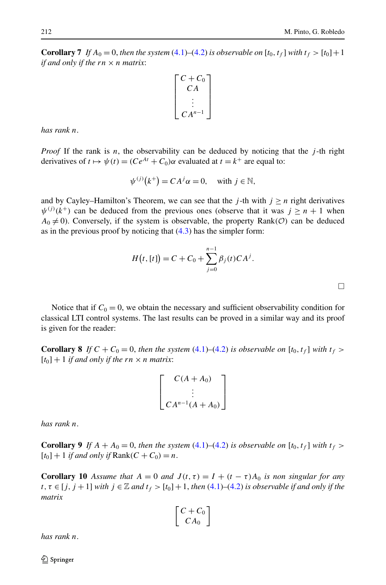<span id="page-19-1"></span>**Corollary 7** *If*  $A_0 = 0$ *, then the system* ([4.1](#page-10-1))–[\(4.2](#page-10-2)) *is observable on* [ $t_0$ *,* $t_f$ ] *with*  $t_f > [t_0]+1$ *if and only if the rn* × *n matrix*:

$$
\begin{bmatrix} C + C_0 \\ C A \\ \vdots \\ C A^{n-1} \end{bmatrix}
$$

*has rank n*.

*Proof* If the rank is *n*, the observability can be deduced by noticing that the *j* -th right derivatives of  $t \mapsto \psi(t) = (Ce^{At} + C_0)\alpha$  evaluated at  $t = k^+$  are equal to:

$$
\psi^{(j)}(k^+) = CA^j \alpha = 0, \quad \text{with } j \in \mathbb{N},
$$

and by Cayley–Hamilton's Theorem, we can see that the *j*-th with  $j \geq n$  right derivatives  $\psi^{(j)}(k^+)$  can be deduced from the previous ones (observe that it was  $j \geq n+1$  when  $A_0 \neq 0$ ). Conversely, if the system is observable, the property Rank( $\mathcal{O}$ ) can be deduced as in the previous proof by noticing that  $(4.3)$  $(4.3)$  has the simpler form:

$$
H(t, [t]) = C + C_0 + \sum_{j=0}^{n-1} \beta_j(t) C A^j.
$$

<span id="page-19-0"></span>Notice that if  $C_0 = 0$ , we obtain the necessary and sufficient observability condition for classical LTI control systems. The last results can be proved in a similar way and its proof is given for the reader:

**Corollary 8** *If*  $C + C_0 = 0$ , *then the system* [\(4.1](#page-10-1))–[\(4.2\)](#page-10-2) *is observable on* [ $t_0, t_f$ ] *with*  $t_f >$  $[t_0] + 1$  *if and only if the*  $rn \times n$  *matrix*:

$$
\begin{bmatrix}\nC(A+A_0) \\
\vdots \\
C A^{n-1}(A+A_0)\n\end{bmatrix}
$$

*has rank n*.

**Corollary 9** *If*  $A + A_0 = 0$ , *then the system* [\(4.1](#page-10-1))–[\(4.2](#page-10-2)) *is observable on* [ $t_0, t_f$ ] *with*  $t_f$  >  $[t_0] + 1$  *if and only if* Rank $(C + C_0) = n$ .

**Corollary 10** Assume that  $A = 0$  and  $J(t, \tau) = I + (t - \tau)A_0$  is non singular for any  $t, \tau \in [j, j + 1]$  *with*  $j \in \mathbb{Z}$  *and*  $t_f > [t_0] + 1$ , *then* [\(4.1](#page-10-1))–[\(4.2\)](#page-10-2) *is observable if and only if the matrix*

$$
\left[\begin{array}{c} C + C_0 \\ C A_0 \end{array}\right]
$$

*has rank n*.

 $\mathcal{D}$  Springer

 $\Box$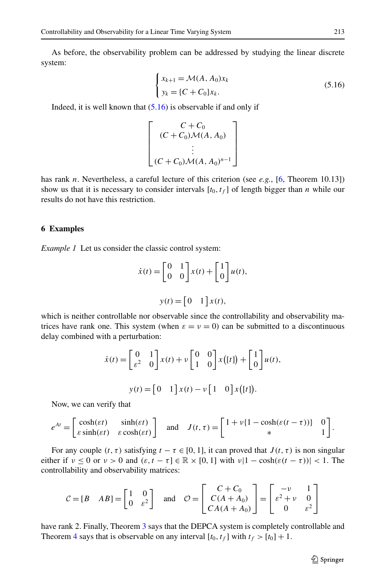As before, the observability problem can be addressed by studying the linear discrete system:

<span id="page-20-0"></span>
$$
\begin{cases} x_{k+1} = \mathcal{M}(A, A_0) x_k \\ y_k = \{ C + C_0 \} x_k. \end{cases}
$$
 (5.16)

Indeed, it is well known that  $(5.16)$  $(5.16)$  $(5.16)$  is observable if and only if

$$
\begin{bmatrix}\nC + C_0 \\
(C + C_0)\mathcal{M}(A, A_0) \\
\vdots \\
(C + C_0)\mathcal{M}(A, A_0)^{n-1}\n\end{bmatrix}
$$

has rank *n*. Nevertheless, a careful lecture of this criterion (see *e.g.*, [\[6](#page-22-2), Theorem 10.13]) show us that it is necessary to consider intervals  $[t_0, t_f]$  of length bigger than *n* while our results do not have this restriction.

#### **6 Examples**

*Example 1* Let us consider the classic control system:

$$
\dot{x}(t) = \begin{bmatrix} 0 & 1 \\ 0 & 0 \end{bmatrix} x(t) + \begin{bmatrix} 1 \\ 0 \end{bmatrix} u(t),
$$

$$
y(t) = \begin{bmatrix} 0 & 1 \end{bmatrix} x(t),
$$

which is neither controllable nor observable since the controllability and observability matrices have rank one. This system (when  $\varepsilon = v = 0$ ) can be submitted to a discontinuous delay combined with a perturbation:

$$
\dot{x}(t) = \begin{bmatrix} 0 & 1 \\ \varepsilon^2 & 0 \end{bmatrix} x(t) + \nu \begin{bmatrix} 0 & 0 \\ 1 & 0 \end{bmatrix} x([t]) + \begin{bmatrix} 1 \\ 0 \end{bmatrix} u(t),
$$

$$
y(t) = \begin{bmatrix} 0 & 1 \end{bmatrix} x(t) - \nu \begin{bmatrix} 1 & 0 \end{bmatrix} x([t]).
$$

Now, we can verify that

$$
e^{At} = \begin{bmatrix} \cosh(\varepsilon t) & \sinh(\varepsilon t) \\ \varepsilon \sinh(\varepsilon t) & \varepsilon \cosh(\varepsilon t) \end{bmatrix} \text{ and } J(t, \tau) = \begin{bmatrix} 1 + v\{1 - \cosh(\varepsilon (t - \tau))\} & 0 \\ * & 1 \end{bmatrix}.
$$

For any couple  $(t, \tau)$  satisfying  $t - \tau \in [0, 1]$ , it can proved that  $J(t, \tau)$  is non singular either if  $v \le 0$  or  $v > 0$  and  $(\varepsilon, t - \tau] \in \mathbb{R} \times [0, 1]$  with  $v|1 - \cosh(\varepsilon(t - \tau))| < 1$ . The controllability and observability matrices:

$$
C = [B \quad AB] = \begin{bmatrix} 1 & 0 \\ 0 & \varepsilon^2 \end{bmatrix} \quad \text{and} \quad \mathcal{O} = \begin{bmatrix} C + C_0 \\ C(A + A_0) \\ C A (A + A_0) \end{bmatrix} = \begin{bmatrix} -\nu & 1 \\ \varepsilon^2 + \nu & 0 \\ 0 & \varepsilon^2 \end{bmatrix}
$$

have rank 2. Finally, Theorem [3](#page-16-0) says that the DEPCA system is completely controllable and Theorem [4](#page-17-2) says that is observable on any interval  $[t_0, t_f]$  with  $t_f > [t_0] + 1$ .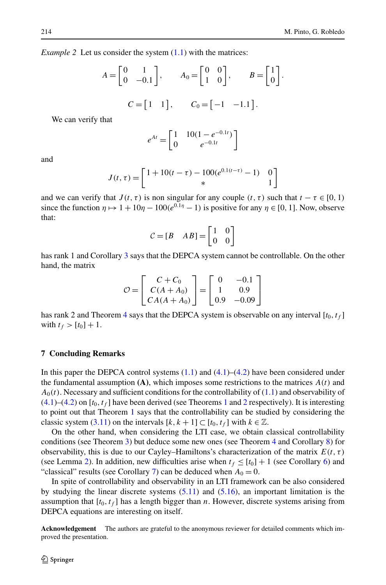*Example 2* Let us consider the system  $(1.1)$  $(1.1)$  with the matrices:

$$
A = \begin{bmatrix} 0 & 1 \\ 0 & -0.1 \end{bmatrix}, \qquad A_0 = \begin{bmatrix} 0 & 0 \\ 1 & 0 \end{bmatrix}, \qquad B = \begin{bmatrix} 1 \\ 0 \end{bmatrix}.
$$

$$
C = \begin{bmatrix} 1 & 1 \end{bmatrix}, \qquad C_0 = \begin{bmatrix} -1 & -1.1 \end{bmatrix}.
$$

We can verify that

$$
e^{At} = \begin{bmatrix} 1 & 10(1 - e^{-0.1t}) \\ 0 & e^{-0.1t} \end{bmatrix}
$$

and

$$
J(t, \tau) = \begin{bmatrix} 1 + 10(t - \tau) - 100(e^{0.1(t - \tau)} - 1) & 0 \\ * & 1 \end{bmatrix}
$$

and we can verify that  $J(t, \tau)$  is non singular for any couple  $(t, \tau)$  such that  $t - \tau \in [0, 1)$ since the function  $\eta \mapsto 1 + 10\eta - 100(e^{0.1\eta} - 1)$  is positive for any  $\eta \in [0, 1]$ . Now, observe that:

$$
C = [B \quad AB] = \begin{bmatrix} 1 & 0 \\ 0 & 0 \end{bmatrix}
$$

has rank 1 and Corollary [3](#page-16-0) says that the DEPCA system cannot be controllable. On the other hand, the matrix

$$
\mathcal{O} = \begin{bmatrix} C + C_0 \\ C(A + A_0) \\ CA(A + A_0) \end{bmatrix} = \begin{bmatrix} 0 & -0.1 \\ 1 & 0.9 \\ 0.9 & -0.09 \end{bmatrix}
$$

has rank 2 and Theorem [4](#page-17-2) says that the DEPCA system is observable on any interval  $[t_0, t_f]$ with  $t_f > [t_0] + 1$ .

#### **7 Concluding Remarks**

In this paper the DEPCA control systems  $(1.1)$  $(1.1)$  and  $(4.1)$  $(4.1)$  $(4.1)$ – $(4.2)$  $(4.2)$  have been considered under the fundamental assumption  $(A)$ , which imposes some restrictions to the matrices  $A(t)$  and  $A_0(t)$ . Necessary and sufficient conditions for the controllability of  $(1.1)$  $(1.1)$  and observability of  $(4.1)$  $(4.1)$ – $(4.2)$  $(4.2)$  on  $[t_0, t_f]$  have been derived (see Theorems [1](#page-8-2) and [2](#page-11-2) respectively). It is interesting to point out that Theorem [1](#page-8-2) says that the controllability can be studied by considering the classic system [\(3.11\)](#page-9-1) on the intervals  $[k, k+1] \subset [t_0, t_f]$  with  $k \in \mathbb{Z}$ .

On the other hand, when considering the LTI case, we obtain classical controllability conditions (see Theorem [3](#page-16-0)) but deduce some new ones (see Theorem [4](#page-17-2) and Corollary [8](#page-19-0)) for observability, this is due to our Cayley–Hamiltons's characterization of the matrix  $E(t, \tau)$ (see Lemma [2](#page-13-6)). In addition, new difficulties arise when  $t_f \leq [t_0] + 1$  (see Corollary [6](#page-18-0)) and "classical" results (see Corollary [7\)](#page-19-1) can be deduced when  $A_0 = 0$ .

In spite of controllability and observability in an LTI framework can be also considered by studying the linear discrete systems  $(5.11)$  and  $(5.16)$ , an important limitation is the assumption that  $[t_0, t_f]$  has a length bigger than *n*. However, discrete systems arising from DEPCA equations are interesting on itself.

**Acknowledgement** The authors are grateful to the anonymous reviewer for detailed comments which improved the presentation.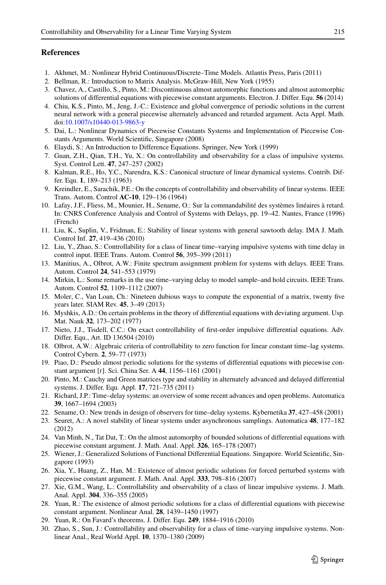## <span id="page-22-28"></span><span id="page-22-13"></span><span id="page-22-8"></span><span id="page-22-5"></span><span id="page-22-4"></span><span id="page-22-2"></span>**References**

- <span id="page-22-23"></span>1. Akhmet, M.: Nonlinear Hybrid Continuous/Discrete–Time Models. Atlantis Press, Paris (2011)
- 2. Bellman, R.: Introduction to Matrix Analysis. McGraw-Hill, New York (1955)
- <span id="page-22-0"></span>3. Chavez, A., Castillo, S., Pinto, M.: Discontinuous almost automorphic functions and almost automorphic solutions of differential equations with piecewise constant arguments. Electron. J. Differ. Equ. **56** (2014)
- <span id="page-22-1"></span>4. Chiu, K.S., Pinto, M., Jeng, J.-C.: Existence and global convergence of periodic solutions in the current neural network with a general piecewise alternately advanced and retarded argument. Acta Appl. Math. doi[:10.1007/s10440-013-9863-y](http://dx.doi.org/10.1007/s10440-013-9863-y)
- <span id="page-22-18"></span>5. Dai, L.: Nonlinear Dynamics of Piecewise Constants Systems and Implementation of Piecewise Constants Arguments. World Scientific, Singapore (2008)
- <span id="page-22-20"></span>6. Elaydi, S.: An Introduction to Difference Equations. Springer, New York (1999)
- 7. Guan, Z.H., Qian, T.H., Yu, X.: On controllability and observability for a class of impulsive systems. Syst. Control Lett. **47**, 247–257 (2002)
- <span id="page-22-24"></span>8. Kalman, R.E., Ho, Y.C., Narendra, K.S.: Canonical structure of linear dynamical systems. Contrib. Differ. Equ. **1**, 189–213 (1963)
- <span id="page-22-17"></span>9. Kreindler, E., Sarachik, P.E.: On the concepts of controllability and observability of linear systems. IEEE Trans. Autom. Control **AC-10**, 129–136 (1964)
- <span id="page-22-29"></span><span id="page-22-21"></span>10. Lafay, J.F., Fliess, M., Mounier, H., Sename, O.: Sur la commandabilité des systèmes linéaires à retard. In: CNRS Conference Analysis and Control of Systems with Delays, pp. 19–42. Nantes, France (1996) (French)
- <span id="page-22-3"></span>11. Liu, K., Suplin, V., Fridman, E.: Stability of linear systems with general sawtooth delay. IMA J. Math. Control Inf. **27**, 419–436 (2010)
- <span id="page-22-25"></span>12. Liu, Y., Zhao, S.: Controllability for a class of linear time–varying impulsive systems with time delay in control input. IEEE Trans. Autom. Control **56**, 395–399 (2011)
- <span id="page-22-16"></span>13. Manitius, A., Olbrot, A.W.: Finite spectrum assignment problem for systems with delays. IEEE Trans. Autom. Control **24**, 541–553 (1979)
- <span id="page-22-12"></span>14. Mirkin, L.: Some remarks in the use time–varying delay to model sample–and hold circuits. IEEE Trans. Autom. Control **52**, 1109–1112 (2007)
- <span id="page-22-7"></span>15. Moler, C., Van Loan, Ch.: Nineteen dubious ways to compute the exponential of a matrix, twenty five years later. SIAM Rev. **45**, 3–49 (2013)
- <span id="page-22-15"></span>16. Myshkis, A.D.: On certain problems in the theory of differential equations with deviating argument. Usp. Mat. Nauk **32**, 173–202 (1977)
- <span id="page-22-19"></span>17. Nieto, J.J., Tisdell, C.C.: On exact controllability of first-order impulsive differential equations. Adv. Differ. Equ., Art. ID 136504 (2010)
- <span id="page-22-22"></span>18. Olbrot, A.W.: Algebraic criteria of controllability to zero function for linear constant time–lag systems. Control Cybern. **2**, 59–77 (1973)
- <span id="page-22-14"></span>19. Piao, D.: Pseudo almost periodic solutions for the systems of differential equations with piecewise constant argument [*t*]. Sci. China Ser. A **44**, 1156–1161 (2001)
- <span id="page-22-6"></span>20. Pinto, M.: Cauchy and Green matrices type and stability in alternately advanced and delayed differential systems. J. Differ. Equ. Appl. **17**, 721–735 (2011)
- <span id="page-22-9"></span>21. Richard, J.P.: Time–delay systems: an overview of some recent advances and open problems. Automatica **39**, 1667–1694 (2003)
- <span id="page-22-26"></span>22. Sename, O.: New trends in design of observers for time–delay systems. Kybernetika **37**, 427–458 (2001)
- <span id="page-22-10"></span>23. Seuret, A.: A novel stability of linear systems under asynchronous samplings. Automatica **48**, 177–182 (2012)
- <span id="page-22-11"></span>24. Van Minh, N., Tat Dat, T.: On the almost automorphy of bounded solutions of differential equations with piecewise constant argument. J. Math. Anal. Appl. **326**, 165–178 (2007)
- <span id="page-22-27"></span>25. Wiener, J.: Generalized Solutions of Functional Differential Equations. Singapore. World Scientific, Singapore (1993)
- 26. Xia, Y., Huang, Z., Han, M.: Existence of almost periodic solutions for forced perturbed systems with piecewise constant argument. J. Math. Anal. Appl. **333**, 798–816 (2007)
- 27. Xie, G.M., Wang, L.: Controllability and observability of a class of linear impulsive systems. J. Math. Anal. Appl. **304**, 336–355 (2005)
- 28. Yuan, R.: The existence of almost periodic solutions for a class of differential equations with piecewise constant argument. Nonlinear Anal. **28**, 1439–1450 (1997)
- 29. Yuan, R.: On Favard's theorems. J. Differ. Equ. **249**, 1884–1916 (2010)
- 30. Zhao, S., Sun, J.: Controllability and observability for a class of time–varying impulsive systems. Nonlinear Anal., Real World Appl. **10**, 1370–1380 (2009)